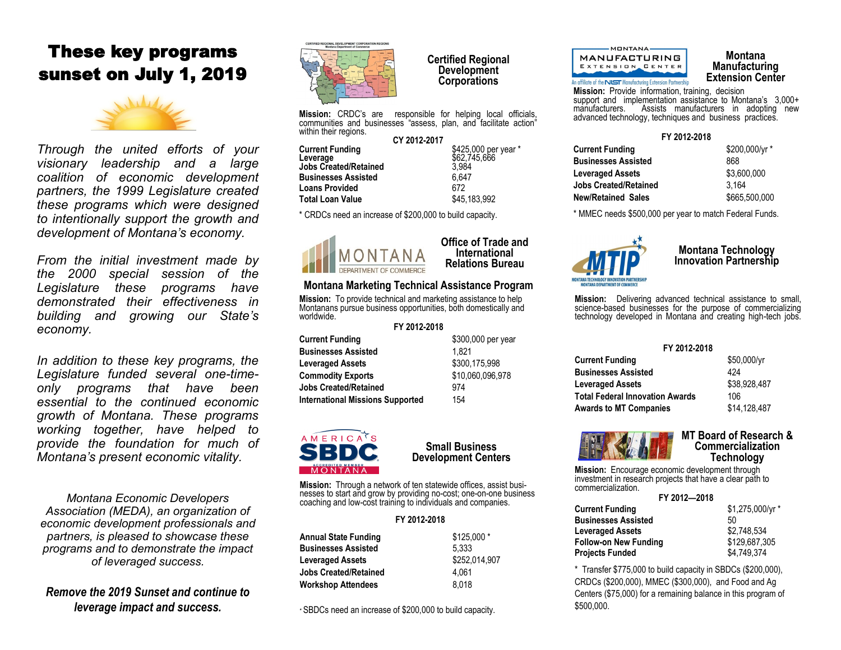# These key programs sunset on July 1, 2019



*Through the united efforts of your visionary leadership and a large coalition of economic development partners, the 1999 Legislature created these programs which were designed to intentionally support the growth and development of Montana's economy.* 

*From the initial investment made by the 2000 special session of the Legislature these programs have demonstrated their effectiveness in building and growing our State's economy.*

*In addition to these key programs, the Legislature funded several one-timeonly programs that have been essential to the continued economic growth of Montana. These programs working together, have helped to provide the foundation for much of Montana's present economic vitality.*

*Montana Economic Developers Association (MEDA), an organization of economic development professionals and partners, is pleased to showcase these programs and to demonstrate the impact of leveraged success.*

*Remove the 2019 Sunset and continue to leverage impact and success.*



**Certified Regional Development Corporations** 

> **Office of Trade and International Relations Bureau**

**Mission:** CRDC's are responsible for helping local officials, communities and businesses "assess, plan, and facilitate action" within their regions. **CY 2012-2017**

|                              | <b>CY 2012-2017</b> |                      |  |
|------------------------------|---------------------|----------------------|--|
| <b>Current Funding</b>       |                     | \$425,000 per year * |  |
| Leverage                     |                     | \$62.745.666         |  |
| <b>Jobs Created/Retained</b> |                     | 3.984                |  |
| <b>Businesses Assisted</b>   |                     | 6.647                |  |
| <b>Loans Provided</b>        |                     | 672                  |  |
| Total Loan Value             |                     | \$45,183,992         |  |
|                              |                     |                      |  |

\* CRDCs need an increase of \$200,000 to build capacity.



# **Montana Marketing Technical Assistance Program**

**Mission:** To provide technical and marketing assistance to help Montanans pursue business opportunities, both domestically and worldwide.

### **FY 2012-2018**

**Current Funding**   $$300,000$  per year **Businesses Assisted 1,821 Leveraged Assets \$300,175,998 Commodity Exports** \$10,060,096,978 **Jobs Created/Retained** 974 **International Missions Supported** 154



# **Small Business Development Centers**

**Mission:** Through a network of ten statewide offices, assist businesses to start and grow by providing no-cost; one-on-one business coaching and low-cost training to individuals and companies.

### **FY 2012-2018**

| <b>Annual State Funding</b><br><b>Businesses Assisted</b> | \$125,000 *<br>5.333 |
|-----------------------------------------------------------|----------------------|
| <b>Leveraged Assets</b>                                   | \$252.014.907        |
| <b>Jobs Created/Retained</b>                              | 4.061                |
| <b>Workshop Attendees</b>                                 | 8.018                |

\* SBDCs need an increase of \$200,000 to build capacity.



# **Montana Manufacturing Extension Center**

**Mission:** Provide information, training, decision support and implementation assistance to Montana's 3,000+ manufacturers. Assists manufacturers in adopting new advanced technology, techniques and business practices.

# **FY 2012-2018**

| Current Funding              | \$200,000/yr* |
|------------------------------|---------------|
| <b>Businesses Assisted</b>   | 868           |
| <b>Leveraged Assets</b>      | \$3.600.000   |
| <b>Jobs Created/Retained</b> | 3.164         |
| New/Retained Sales           | \$665,500,000 |
|                              |               |

\* MMEC needs \$500,000 per year to match Federal Funds.



# **Montana Technology Innovation Partnership**

**Mission:** Delivering advanced technical assistance to small, science-based businesses for the purpose of commercializing technology developed in Montana and creating high-tech jobs.

### **FY 2012-2018**

| <b>Current Funding</b>                 | $$50,000/\text{yr}$ |
|----------------------------------------|---------------------|
| <b>Businesses Assisted</b>             | 424                 |
| <b>Leveraged Assets</b>                | \$38,928,487        |
| <b>Total Federal Innovation Awards</b> | 106                 |
| <b>Awards to MT Companies</b>          | \$14,128,487        |



## **MT Board of Research & Commercialization Technology**

**Mission:** Encourage economic development through investment in research projects that have a clear path to commercialization.

| FY 2012-2018                 |                 |
|------------------------------|-----------------|
| <b>Current Funding</b>       | \$1,275,000/yr* |
| <b>Businesses Assisted</b>   | 50              |
| <b>Leveraged Assets</b>      | \$2.748.534     |
| <b>Follow-on New Funding</b> | \$129.687.305   |
| Projects Funded              | \$4.749.374     |

\* Transfer \$775,000 to build capacity in SBDCs (\$200,000), CRDCs (\$200,000), MMEC (\$300,000), and Food and Ag Centers (\$75,000) for a remaining balance in this program of \$500,000.